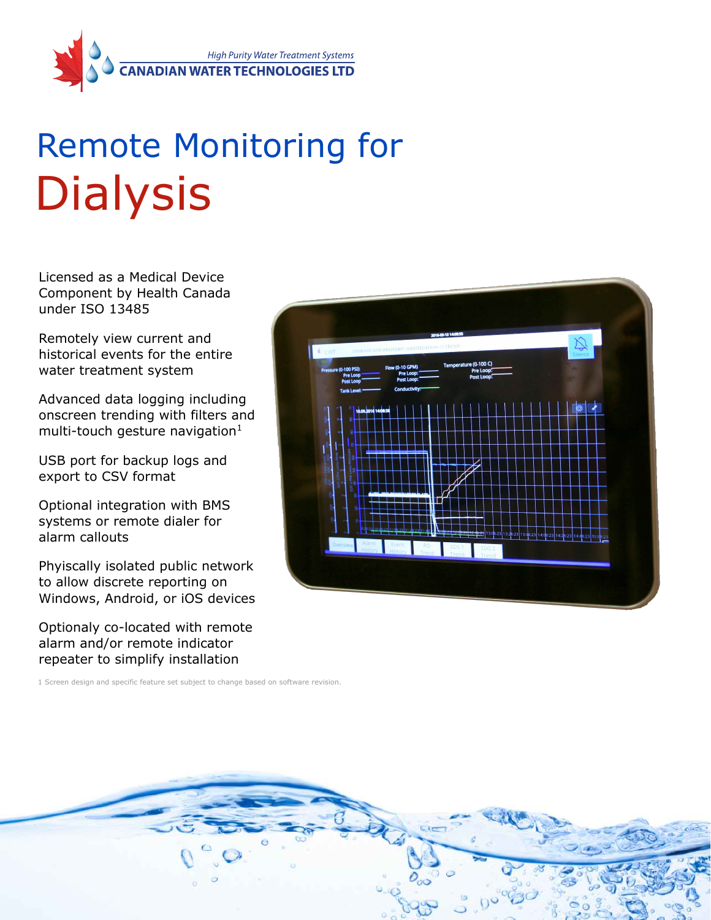

## Remote Monitoring for **Dialysis**

Licensed as a Medical Device Component by Health Canada under ISO 13485

Remotely view current and historical events for the entire water treatment system

Advanced data logging including onscreen trending with filters and multi-touch gesture navigation $1$ 

USB port for backup logs and export to CSV format

Optional integration with BMS systems or remote dialer for alarm callouts

Phyiscally isolated public network to allow discrete reporting on Windows, Android, or iOS devices

Optionaly co-located with remote alarm and/or remote indicator repeater to simplify installation

1 Screen design and specific feature set subject to change based on software revision.